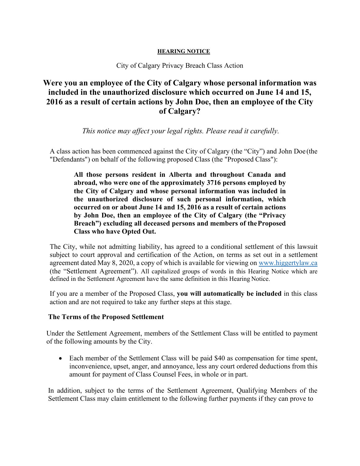#### **HEARING NOTICE**

## City of Calgary Privacy Breach Class Action

# **Were you an employee of the City of Calgary whose personal information was included in the unauthorized disclosure which occurred on June 14 and 15, 2016 as a result of certain actions by John Doe, then an employee of the City of Calgary?**

*This notice may affect your legal rights. Please read it carefully.*

A class action has been commenced against the City of Calgary (the "City") and John Doe (the "Defendants") on behalf of the following proposed Class (the "Proposed Class"):

**All those persons resident in Alberta and throughout Canada and abroad, who were one of the approximately 3716 persons employed by the City of Calgary and whose personal information was included in the unauthorized disclosure of such personal information, which occurred on or about June 14 and 15, 2016 as a result of certain actions by John Doe, then an employee of the City of Calgary (the "Privacy Breach") excluding all deceased persons and members of theProposed Class who have Opted Out.**

The City, while not admitting liability, has agreed to a conditional settlement of this lawsuit subject to court approval and certification of the Action, on terms as set out in a settlement agreement dated May 8, 2020, a copy of which is available for viewing on [www.higgertylaw.ca](http://www.higgertylaw.ca/) (the "Settlement Agreement"). All capitalized groups of words in this Hearing Notice which are defined in the Settlement Agreement have the same definition in this Hearing Notice.

If you are a member of the Proposed Class, **you will automatically be included** in this class action and are not required to take any further steps at this stage.

## **The Terms of the Proposed Settlement**

Under the Settlement Agreement, members of the Settlement Class will be entitled to payment of the following amounts by the City.

• Each member of the Settlement Class will be paid \$40 as compensation for time spent, inconvenience, upset, anger, and annoyance, less any court ordered deductions from this amount for payment of Class Counsel Fees, in whole or in part.

In addition, subject to the terms of the Settlement Agreement, Qualifying Members of the Settlement Class may claim entitlement to the following further payments if they can prove to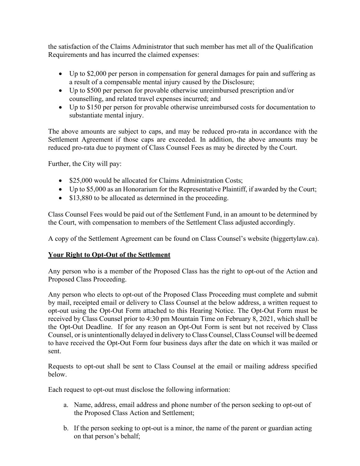the satisfaction of the Claims Administrator that such member has met all of the Qualification Requirements and has incurred the claimed expenses:

- Up to \$2,000 per person in compensation for general damages for pain and suffering as a result of a compensable mental injury caused by the Disclosure;
- Up to \$500 per person for provable otherwise unreimbursed prescription and/or counselling, and related travel expenses incurred; and
- Up to \$150 per person for provable otherwise unreimbursed costs for documentation to substantiate mental injury.

The above amounts are subject to caps, and may be reduced pro-rata in accordance with the Settlement Agreement if those caps are exceeded. In addition, the above amounts may be reduced pro-rata due to payment of Class Counsel Fees as may be directed by the Court.

Further, the City will pay:

- \$25,000 would be allocated for Claims Administration Costs;
- Up to \$5,000 as an Honorarium for the Representative Plaintiff, if awarded by the Court;
- \$13,880 to be allocated as determined in the proceeding.

Class Counsel Fees would be paid out of the Settlement Fund, in an amount to be determined by the Court, with compensation to members of the Settlement Class adjusted accordingly.

A copy of the Settlement Agreement can be found on Class Counsel's website (higgertylaw.ca).

# **Your Right to Opt-Out of the Settlement**

Any person who is a member of the Proposed Class has the right to opt-out of the Action and Proposed Class Proceeding.

Any person who elects to opt-out of the Proposed Class Proceeding must complete and submit by mail, receipted email or delivery to Class Counsel at the below address, a written request to opt-out using the Opt-Out Form attached to this Hearing Notice. The Opt-Out Form must be received by Class Counsel prior to 4:30 pm Mountain Time on February 8, 2021, which shall be the Opt-Out Deadline. If for any reason an Opt-Out Form is sent but not received by Class Counsel, or is unintentionally delayed in delivery to Class Counsel, Class Counsel will be deemed to have received the Opt-Out Form four business days after the date on which it was mailed or sent.

Requests to opt-out shall be sent to Class Counsel at the email or mailing address specified below.

Each request to opt-out must disclose the following information:

- a. Name, address, email address and phone number of the person seeking to opt-out of the Proposed Class Action and Settlement;
- b. If the person seeking to opt-out is a minor, the name of the parent or guardian acting on that person's behalf;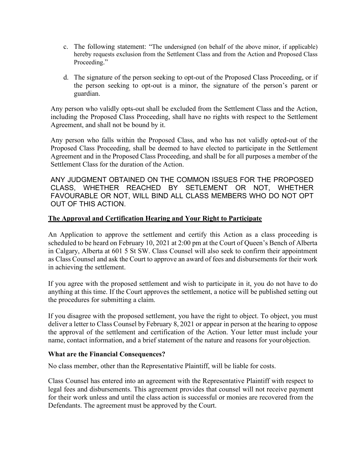- c. The following statement: "The undersigned (on behalf of the above minor, if applicable) hereby requests exclusion from the Settlement Class and from the Action and Proposed Class Proceeding."
- d. The signature of the person seeking to opt-out of the Proposed Class Proceeding, or if the person seeking to opt-out is a minor, the signature of the person's parent or guardian.

Any person who validly opts-out shall be excluded from the Settlement Class and the Action, including the Proposed Class Proceeding, shall have no rights with respect to the Settlement Agreement, and shall not be bound by it.

Any person who falls within the Proposed Class, and who has not validly opted-out of the Proposed Class Proceeding, shall be deemed to have elected to participate in the Settlement Agreement and in the Proposed Class Proceeding, and shall be for all purposes a member of the Settlement Class for the duration of the Action.

ANY JUDGMENT OBTAINED ON THE COMMON ISSUES FOR THE PROPOSED CLASS, WHETHER REACHED BY SETLEMENT OR NOT, WHETHER FAVOURABLE OR NOT, WILL BIND ALL CLASS MEMBERS WHO DO NOT OPT OUT OF THIS ACTION.

# **The Approval and Certification Hearing and Your Right to Participate**

An Application to approve the settlement and certify this Action as a class proceeding is scheduled to be heard on February 10, 2021 at 2:00 pm at the Court of Queen's Bench of Alberta in Calgary, Alberta at 601 5 St SW. Class Counsel will also seek to confirm their appointment as Class Counsel and ask the Court to approve an award of fees and disbursements for their work in achieving the settlement.

If you agree with the proposed settlement and wish to participate in it, you do not have to do anything at this time. If the Court approves the settlement, a notice will be published setting out the procedures for submitting a claim.

If you disagree with the proposed settlement, you have the right to object. To object, you must deliver a letter to Class Counsel by February 8, 2021 or appear in person at the hearing to oppose the approval of the settlement and certification of the Action. Your letter must include your name, contact information, and a brief statement of the nature and reasons for yourobjection.

## **What are the Financial Consequences?**

No class member, other than the Representative Plaintiff, will be liable for costs.

Class Counsel has entered into an agreement with the Representative Plaintiff with respect to legal fees and disbursements. This agreement provides that counsel will not receive payment for their work unless and until the class action is successful or monies are recovered from the Defendants. The agreement must be approved by the Court.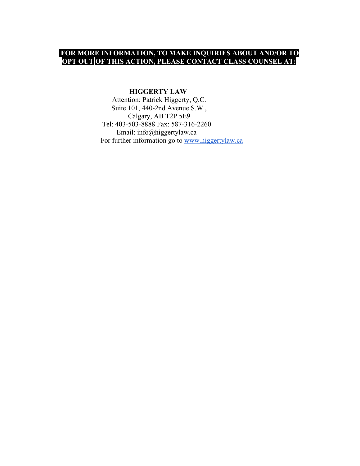## **FOR MORE INFORMATION, TO MAKE INQUIRIES ABOUT AND/OR TO OPT OUT OF THIS ACTION, PLEASE CONTACT CLASS COUNSEL AT:**

# **HIGGERTY LAW**

Attention: Patrick Higgerty, Q.C. Suite 101, 440-2nd Avenue S.W., Calgary, AB T2P 5E9 Tel: 403-503-8888 Fax: 587-316-2260 Em[ail: info@higgertylaw.ca](mailto:info@higgertylaw.ca) For further information go to [www.higgertylaw.ca](http://www.higgertyllaw.ca/)